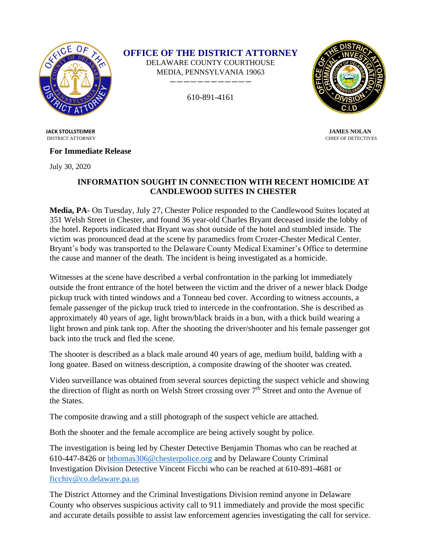

**OFFICE OF THE DISTRICT ATTORNEY**

DELAWARE COUNTY COURTHOUSE MEDIA, PENNSYLVANIA 19063 ————————————

610-891-4161



DISTRICT ATTORNEY CHIEF OF DETECTIVES

 **JACK STOLLSTEIMER JAMES NOLAN**

## **For Immediate Release**

July 30, 2020

## **INFORMATION SOUGHT IN CONNECTION WITH RECENT HOMICIDE AT CANDLEWOOD SUITES IN CHESTER**

**Media, PA-** On Tuesday, July 27, Chester Police responded to the Candlewood Suites located at 351 Welsh Street in Chester, and found 36 year-old Charles Bryant deceased inside the lobby of the hotel. Reports indicated that Bryant was shot outside of the hotel and stumbled inside. The victim was pronounced dead at the scene by paramedics from Crozer-Chester Medical Center. Bryant's body was transported to the Delaware County Medical Examiner's Office to determine the cause and manner of the death. The incident is being investigated as a homicide.

Witnesses at the scene have described a verbal confrontation in the parking lot immediately outside the front entrance of the hotel between the victim and the driver of a newer black Dodge pickup truck with tinted windows and a Tonneau bed cover. According to witness accounts, a female passenger of the pickup truck tried to intercede in the confrontation. She is described as approximately 40 years of age, light brown/black braids in a bun, with a thick build wearing a light brown and pink tank top. After the shooting the driver/shooter and his female passenger got back into the truck and fled the scene.

The shooter is described as a black male around 40 years of age, medium build, balding with a long goatee. Based on witness description, a composite drawing of the shooter was created.

Video surveillance was obtained from several sources depicting the suspect vehicle and showing the direction of flight as north on Welsh Street crossing over 7<sup>th</sup> Street and onto the Avenue of the States.

The composite drawing and a still photograph of the suspect vehicle are attached.

Both the shooter and the female accomplice are being actively sought by police.

The investigation is being led by Chester Detective Benjamin Thomas who can be reached at 610-447-8426 or [bthomas306@chesterpolice.org](mailto:bthomas306@chesterpolice.org) and by Delaware County Criminal Investigation Division Detective Vincent Ficchi who can be reached at 610-891-4681 or [ficchiv@co.delaware.pa.us](mailto:ficchiv@co.delaware.pa.us)

The District Attorney and the Criminal Investigations Division remind anyone in Delaware County who observes suspicious activity call to 911 immediately and provide the most specific and accurate details possible to assist law enforcement agencies investigating the call for service.